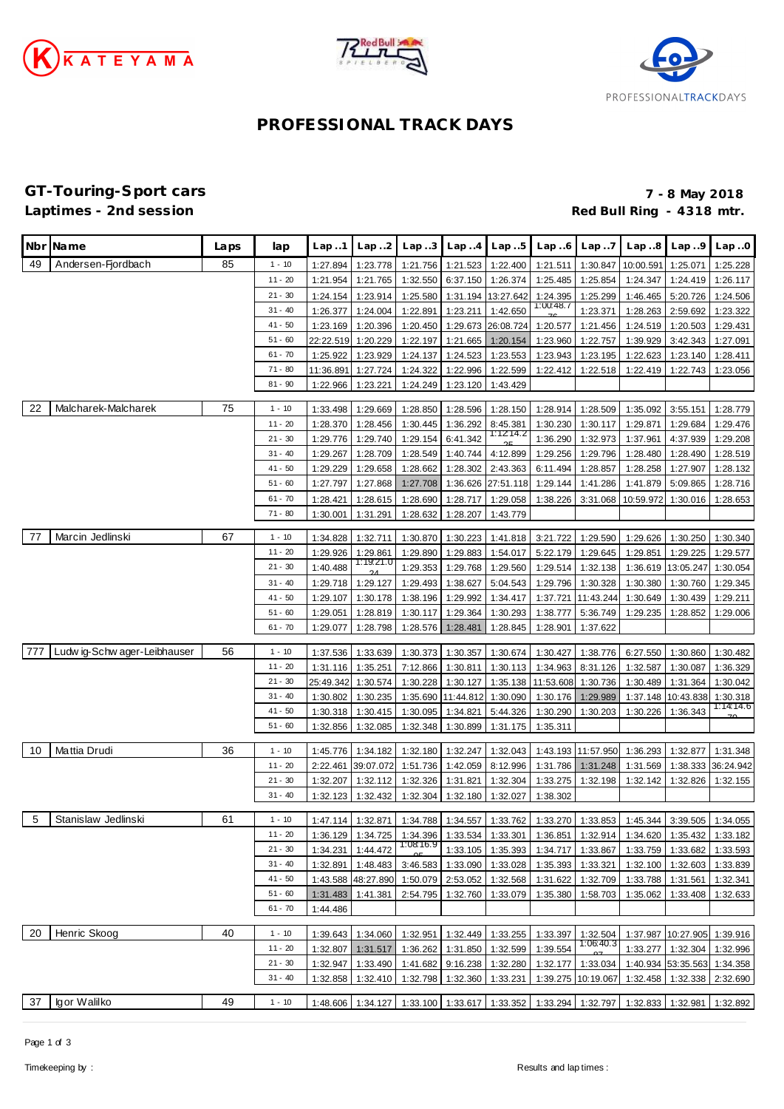





# **PROFESSIONAL TRACK DAYS**

### **GT-Touring-Sport cars 7 - 8 May 2018** Red Bull Ring - 4318 mtr.

|             | Nbr Name                     | Laps | lap       | Lap.1     | Lap.2     | Lap.3     | Lap.4             | Lap.5              | Lap.6     | Lap.7              | Lap.8             | Lap.9              | Lap.0                                                                                     |
|-------------|------------------------------|------|-----------|-----------|-----------|-----------|-------------------|--------------------|-----------|--------------------|-------------------|--------------------|-------------------------------------------------------------------------------------------|
| 49          | Andersen-Fjordbach           | 85   | $1 - 10$  | 1:27.894  | 1:23.778  | 1:21.756  | 1:21.523          | 1:22.400           | 1:21.511  | 1:30.847           | 10:00.591         | 1:25.071           | 1:25.228                                                                                  |
|             |                              |      | $11 - 20$ | 1:21.954  | 1:21.765  | 1:32.550  | 6:37.150          | 1:26.374           | 1:25.485  | 1:25.854           | 1:24.347          | 1:24.419           | 1:26.117                                                                                  |
|             |                              |      | $21 - 30$ | 1:24.154  | 1:23.914  | 1:25.580  |                   | 1:31.194 13:27.642 | 1:24.395  | 1:25.299           | 1:46.465          | 5:20.726           | 1:24.506                                                                                  |
|             |                              |      | $31 - 40$ | 1:26.377  | 1:24.004  | 1:22.891  | 1:23.211          | 1:42.650           | 1:00:48.7 | 1:23.371           | 1:28.263          | 2:59.692           | 1:23.322                                                                                  |
|             |                              |      | $41 - 50$ | 1:23.169  | 1:20.396  | 1:20.450  |                   | 1:29.673 26:08.724 | 1:20.577  | 1:21.456           | 1:24.519          | 1:20.503           | 1:29.431                                                                                  |
|             |                              |      | $51 - 60$ | 22:22.519 | 1:20.229  | 1:22.197  | 1:21.665          | 1:20.154           | 1:23.960  | 1:22.757           | 1:39.929          | 3:42.343           | 1:27.091                                                                                  |
|             |                              |      | $61 - 70$ | 1:25.922  | 1:23.929  | 1:24.137  | 1:24.523          | 1:23.553           | 1:23.943  | 1:23.195           | 1:22.623          | 1:23.140           | 1:28.411                                                                                  |
|             |                              |      | 71 - 80   | 11:36.891 | 1:27.724  | 1:24.322  | 1:22.996          | 1:22.599           | 1:22.412  | 1:22.518           | 1:22.419          | 1:22.743           | 1:23.056                                                                                  |
|             |                              |      | $81 - 90$ | 1:22.966  | 1:23.221  | 1:24.249  | 1:23.120          | 1:43.429           |           |                    |                   |                    |                                                                                           |
| 22          | Malcharek-Malcharek          | 75   | $1 - 10$  | 1:33.498  | 1:29.669  | 1:28.850  | 1:28.596          | 1:28.150           | 1:28.914  | 1:28.509           | 1:35.092          | 3:55.151           | 1:28.779                                                                                  |
|             |                              |      | $11 - 20$ | 1:28.370  | 1:28.456  | 1:30.445  | 1:36.292          | 8:45.381           | 1:30.230  | 1:30.117           | 1:29.871          | 1:29.684           | 1:29.476                                                                                  |
|             |                              |      | $21 - 30$ | 1:29.776  | 1:29.740  | 1:29.154  | 6:41.342          | 1:12:14.2          | 1:36.290  | 1:32.973           | 1:37.961          | 4:37.939           | 1:29.208                                                                                  |
|             |                              |      | $31 - 40$ | 1:29.267  | 1:28.709  | 1:28.549  | 1:40.744          | 4:12.899           | 1:29.256  | 1:29.796           | 1:28.480          | 1:28.490           | 1:28.519                                                                                  |
|             |                              |      | 41 - 50   | 1:29.229  | 1:29.658  | 1:28.662  | 1:28.302          | 2:43.363           | 6:11.494  | 1:28.857           | 1:28.258          | 1:27.907           | 1:28.132                                                                                  |
|             |                              |      | $51 - 60$ | 1:27.797  | 1:27.868  | 1:27.708  | 1:36.626          | 27:51.118          | 1:29.144  | 1:41.286           | 1:41.879          | 5:09.865           | 1:28.716                                                                                  |
|             |                              |      | $61 - 70$ | 1:28.421  | 1:28.615  | 1:28.690  | 1:28.717          | 1:29.058           | 1:38.226  | 3:31.068           | 10:59.972         | 1:30.016           | 1:28.653                                                                                  |
|             |                              |      | $71 - 80$ | 1:30.001  | 1:31.291  | 1:28.632  | 1:28.207          | 1:43.779           |           |                    |                   |                    |                                                                                           |
| -77         | Marcin Jedlinski             | 67   | $1 - 10$  | 1:34.828  | 1:32.711  | 1:30.870  | 1:30.223          | 1:41.818           | 3:21.722  | 1:29.590           | 1:29.626          | 1:30.250           | 1:30.340                                                                                  |
|             |                              |      | $11 - 20$ | 1:29.926  | 1:29.861  | 1:29.890  | 1:29.883          | 1:54.017           | 5:22.179  | 1:29.645           | 1:29.851          | 1:29.225           | 1:29.577                                                                                  |
|             |                              |      | $21 - 30$ | 1:40.488  | 1:19:21.0 | 1:29.353  | 1:29.768          | 1:29.560           | 1:29.514  | 1:32.138           | 1:36.619          | 13:05.247          | 1:30.054                                                                                  |
|             |                              |      | $31 - 40$ | 1:29.718  | 1:29.127  | 1:29.493  | 1:38.627          | 5:04.543           | 1:29.796  | 1:30.328           | 1:30.380          | 1:30.760           | 1:29.345                                                                                  |
|             |                              |      | $41 - 50$ | 1:29.107  | 1:30.178  | 1:38.196  | 1:29.992          | 1:34.417           | 1:37.721  | 11:43.244          | 1:30.649          | 1:30.439           | 1:29.211                                                                                  |
|             |                              |      | $51 - 60$ | 1:29.051  | 1:28.819  | 1:30.117  | 1:29.364          | 1:30.293           | 1:38.777  | 5:36.749           | 1:29.235          | 1:28.852           | 1:29.006                                                                                  |
|             |                              |      | $61 - 70$ | 1:29.077  | 1:28.798  | 1:28.576  | 1:28.481          | 1:28.845           | 1:28.901  | 1:37.622           |                   |                    |                                                                                           |
| 777         | Ludw ig-Schw ager-Leibhauser | 56   | $1 - 10$  | 1:37.536  | 1:33.639  | 1:30.373  | 1:30.357          | 1:30.674           | 1:30.427  | 1:38.776           | 6:27.550          | 1:30.860           | 1:30.482                                                                                  |
|             |                              |      | $11 - 20$ | 1:31.116  | 1:35.251  | 7:12.866  | 1:30.811          | 1:30.113           | 1:34.963  | 8:31.126           | 1:32.587          | 1:30.087           | 1:36.329                                                                                  |
|             |                              |      | $21 - 30$ | 25:49.342 | 1:30.574  | 1:30.228  | 1:30.127          | 1:35.138           | 11:53.608 | 1:30.736           | 1:30.489          | 1:31.364           | 1:30.042                                                                                  |
|             |                              |      | $31 - 40$ | 1:30.802  | 1:30.235  | 1:35.690  | 11:44.812         | 1:30.090           | 1:30.176  | 1:29.989           | 1:37.148          | 10:43.838          | 1:30.318                                                                                  |
|             |                              |      | $41 - 50$ | 1:30.318  | 1:30.415  | 1:30.095  | 1:34.821          | 5:44.326           | 1:30.290  | 1:30.203           | 1:30.226          | 1:36.343           | 1:14:14.6                                                                                 |
|             |                              |      | $51 - 60$ | 1:32.856  | 1:32.085  | 1:32.348  | 1:30.899          | 1:31.175           | 1:35.311  |                    |                   |                    |                                                                                           |
|             |                              |      |           |           |           |           |                   |                    |           |                    |                   |                    |                                                                                           |
| 10          | Mattia Drudi                 | 36   | $1 - 10$  | 1:45.776  | 1:34.182  | 1:32.180  | 1:32.247          | 1:32.043           | 1:43.193  | 11:57.950          | 1:36.293          | 1:32.877           | 1:31.348                                                                                  |
|             |                              |      | $11 - 20$ | 2:22.461  | 39:07.072 | 1:51.736  | 1:42.059          | 8:12.996           | 1:31.786  | 1:31.248           | 1:31.569          |                    | 1:38.333 36:24.942                                                                        |
|             |                              |      | $21 - 30$ | 1:32.207  | 1:32.112  | 1:32.326  | 1:31.821          | 1:32.304           | 1:33.275  | 1:32.198           | 1:32.142          | 1:32.826           | 1:32.155                                                                                  |
|             |                              |      | $31 - 40$ | 1:32.123  | 1:32.432  | 1:32.304  | 1:32.180          | 1:32.027           | 1:38.302  |                    |                   |                    |                                                                                           |
| $\,$ 5 $\,$ | Stanislaw Jedlinski          | 61   | $1 - 10$  |           |           |           |                   |                    |           |                    |                   |                    | 1:47.114 1:32.871 1:34.788 1:34.557 1:33.762 1:33.270 1:33.853 1:45.344 3:39.505 1:34.055 |
|             |                              |      | $11 - 20$ | 1:36.129  | 1:34.725  | 1:34.396  |                   | 1:33.534 1:33.301  | 1:36.851  | 1:32.914           | 1:34.620          | 1:35.432           | 1:33.182                                                                                  |
|             |                              |      | $21 - 30$ | 1:34.231  | 1:44.472  | 1:08:16.9 | 1:33.105          | 1:35.393           | 1:34.717  | 1:33.867           | 1:33.759          | 1:33.682           | 1:33.593                                                                                  |
|             |                              |      | $31 - 40$ | 1:32.891  | 1:48.483  | 3:46.583  | 1:33.090          | 1:33.028           | 1:35.393  | 1:33.321           | 1:32.100          | 1:32.603           | 1:33.839                                                                                  |
|             |                              |      | 41 - 50   | 1:43.588  | 48:27.890 | 1:50.079  | 2:53.052          | 1:32.568           | 1:31.622  | 1:32.709           | 1:33.788          | 1:31.561           | 1:32.341                                                                                  |
|             |                              |      | $51 - 60$ | 1:31.483  | 1:41.381  | 2:54.795  | 1:32.760          | 1:33.079           | 1:35.380  | 1:58.703           | 1:35.062          | 1:33.408           | 1:32.633                                                                                  |
|             |                              |      | $61 - 70$ | 1:44.486  |           |           |                   |                    |           |                    |                   |                    |                                                                                           |
| 20          | Henric Skoog                 | 40   | $1 - 10$  | 1:39.643  | 1:34.060  | 1:32.951  | 1:32.449          | 1:33.255           | 1:33.397  | 1:32.504           |                   | 1:37.987 10:27.905 | 1:39.916                                                                                  |
|             |                              |      | $11 - 20$ | 1:32.807  | 1:31.517  | 1:36.262  | 1:31.850          | 1:32.599           | 1:39.554  | 1:06:40.3          | 1:33.277          | 1:32.304           | 1:32.996                                                                                  |
|             |                              |      | $21 - 30$ | 1:32.947  | 1:33.490  | 1:41.682  | 9:16.238          | 1:32.280           | 1:32.177  | 1:33.034           |                   | 1:40.934 53:35.563 | 1:34.358                                                                                  |
|             |                              |      | $31 - 40$ | 1:32.858  | 1:32.410  | 1:32.798  | 1:32.360          | 1:33.231           |           | 1:39.275 10:19.067 |                   | 1:32.458 1:32.338  | 2:32.690                                                                                  |
|             |                              |      |           |           |           |           |                   |                    |           |                    |                   |                    |                                                                                           |
| 37          | Igor Walilko                 | 49   | $1 - 10$  | 1:48.606  | 1:34.127  |           | 1:33.100 1:33.617 | 1:33.352           | 1:33.294  | 1:32.797           | 1:32.833 1:32.981 |                    | 1:32.892                                                                                  |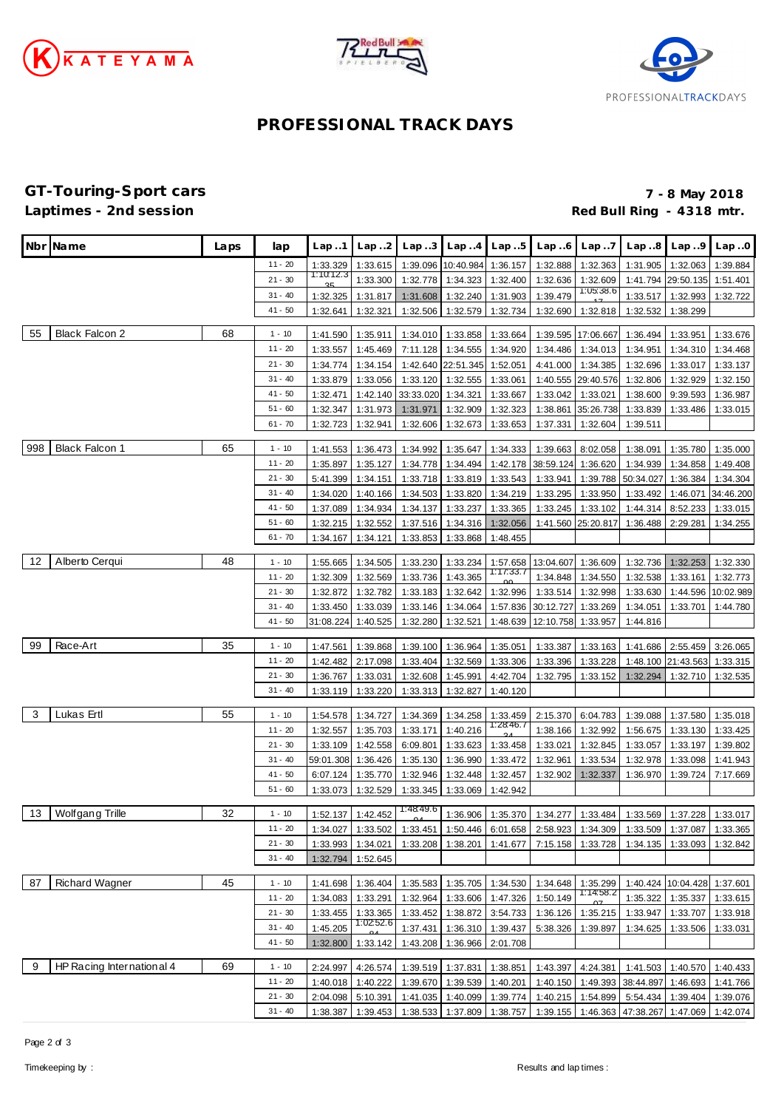





# **PROFESSIONAL TRACK DAYS**

**GT-Touring-Sport cars 7 - 8 May 2018** Red Bull Ring - 4318 mtr.

|     | Nbr Name                  | Laps | lap                    | Lap 1                 | Lap2                 | Lap3                 | Lap.4                      | Lap.5                 | Lap6                 | Lap.7                 | Lap.8                                                                                 | Lap.9                      | Lap.0                |
|-----|---------------------------|------|------------------------|-----------------------|----------------------|----------------------|----------------------------|-----------------------|----------------------|-----------------------|---------------------------------------------------------------------------------------|----------------------------|----------------------|
|     |                           |      |                        |                       |                      |                      |                            |                       |                      |                       |                                                                                       |                            |                      |
|     |                           |      | $11 - 20$              | 1:33.329<br>1:10:12.3 | 1:33.615             | 1:39.096             | 10:40.984                  | 1:36.157              | 1:32.888             | 1:32.363              | 1:31.905                                                                              | 1:32.063                   | 1:39.884             |
|     |                           |      | $21 - 30$              |                       | 1:33.300             | 1:32.778             | 1:34.323                   | 1:32.400              | 1:32.636             | 1:32.609<br>1:05:38.6 | 1:41.794                                                                              | 29:50.135                  | 1:51.401             |
|     |                           |      | $31 - 40$<br>$41 - 50$ | 1:32.325              | 1:31.817             | 1:31.608             | 1:32.240                   | 1:31.903              | 1:39.479             |                       | 1:33.517                                                                              | 1:32.993                   | 1:32.722             |
|     |                           |      |                        | 1:32.641              | 1:32.321             | 1:32.506             | 1:32.579                   | 1:32.734              | 1:32.690             | 1:32.818              | 1:32.532                                                                              | 1:38.299                   |                      |
| 55  | <b>Black Falcon 2</b>     | 68   | $1 - 10$               | 1:41.590              | 1:35.911             | 1:34.010             | 1:33.858                   | 1:33.664              |                      | 1:39.595 17:06.667    | 1:36.494                                                                              | 1:33.951                   | 1:33.676             |
|     |                           |      | $11 - 20$              | 1:33.557              | 1:45.469             | 7:11.128             | 1:34.555                   | 1:34.920              | 1:34.486             | 1:34.013              | 1:34.951                                                                              | 1:34.310                   | 1:34.468             |
|     |                           |      | $21 - 30$              | 1:34.774              | 1:34.154             | 1:42.640             | 22:51.345                  | 1:52.051              | 4:41.000             | 1:34.385              | 1:32.696                                                                              | 1:33.017                   | 1:33.137             |
|     |                           |      | $31 - 40$              | 1:33.879              | 1:33.056             | 1:33.120             | 1:32.555                   | 1:33.061              | 1:40.555             | 29:40.576             | 1:32.806                                                                              | 1:32.929                   | 1:32.150             |
|     |                           |      | $41 - 50$              | 1:32.471              | 1:42.140             | 33:33.020            | 1:34.321                   | 1:33.667              | 1:33.042             | 1:33.021              | 1:38.600                                                                              | 9:39.593                   | 1:36.987             |
|     |                           |      | $51 - 60$              | 1:32.347              | 1:31.973             | 1:31.971             | 1:32.909                   | 1:32.323              | 1:38.861             | 35:26.738             | 1:33.839                                                                              | 1:33.486                   | 1:33.015             |
|     |                           |      | $61 - 70$              | 1:32.723              | 1:32.941             | 1:32.606             | 1:32.673                   | 1:33.653              | 1:37.331             | 1:32.604              | 1:39.511                                                                              |                            |                      |
| 998 | <b>Black Falcon 1</b>     | 65   | $1 - 10$               | 1:41.553              | 1:36.473             | 1:34.992             | 1:35.647                   | 1:34.333              | 1:39.663             | 8:02.058              | 1:38.091                                                                              | 1:35.780                   | 1:35.000             |
|     |                           |      | $11 - 20$              | 1:35.897              | 1:35.127             | 1:34.778             | 1:34.494                   | 1:42.178              | 38:59.124            | 1:36.620              | 1:34.939                                                                              | 1:34.858                   | 1:49.408             |
|     |                           |      | $21 - 30$              | 5:41.399              | 1:34.151             | 1:33.718             | 1:33.819                   | 1:33.543              | 1:33.941             | 1:39.788              | 50:34.027                                                                             | 1:36.384                   | 1:34.304             |
|     |                           |      | $31 - 40$              | 1:34.020              | 1:40.166             | 1:34.503             | 1:33.820                   | 1:34.219              | 1:33.295             | 1:33.950              | 1:33.492                                                                              | 1:46.071                   | 34:46.200            |
|     |                           |      | $41 - 50$              | 1:37.089              | 1:34.934             | 1:34.137             | 1:33.237                   | 1:33.365              | 1:33.245             | 1:33.102              | 1:44.314                                                                              | 8:52.233                   | 1:33.015             |
|     |                           |      | $51 - 60$              | 1:32.215              | 1:32.552             | 1:37.516             | 1:34.316                   | 1:32.056              | 1:41.560             | 25:20.817             | 1:36.488                                                                              | 2:29.281                   | 1:34.255             |
|     |                           |      | $61 - 70$              | 1:34.167              | 1:34.121             | 1:33.853             | 1:33.868                   | 1:48.455              |                      |                       |                                                                                       |                            |                      |
| 12  | Alberto Cerqui            | 48   | $1 - 10$               | 1:55.665              | 1:34.505             | 1:33.230             | 1:33.234                   | 1:57.658              | 13:04.607            | 1:36.609              | 1:32.736                                                                              | 1:32.253                   | 1:32.330             |
|     |                           |      | $11 - 20$              | 1:32.309              | 1:32.569             | 1:33.736             | 1:43.365                   | 1:17:33.7             | 1:34.848             | 1:34.550              | 1:32.538                                                                              | 1:33.161                   | 1:32.773             |
|     |                           |      | $21 - 30$              | 1:32.872              | 1:32.782             | 1:33.183             | 1:32.642                   | 1:32.996              | 1:33.514             | 1:32.998              | 1:33.630                                                                              | 1:44.596                   | 10:02.989            |
|     |                           |      | $31 - 40$              | 1:33.450              | 1:33.039             | 1:33.146             | 1:34.064                   | 1:57.836              | 30:12.727            | 1:33.269              | 1:34.051                                                                              | 1:33.701                   | 1:44.780             |
|     |                           |      | $41 - 50$              | 31:08.224             | 1:40.525             | 1:32.280             | 1:32.521                   | 1:48.639              | 12:10.758            | 1:33.957              | 1:44.816                                                                              |                            |                      |
| 99  | Race-Art                  | 35   | $1 - 10$               | 1:47.561              | 1:39.868             | 1:39.100             | 1:36.964                   | 1:35.051              | 1:33.387             | 1:33.163              | 1:41.686                                                                              | 2:55.459                   | 3:26.065             |
|     |                           |      | $11 - 20$              | 1:42.482              | 2:17.098             | 1:33.404             | 1:32.569                   | 1:33.306              | 1:33.396             | 1:33.228              | 1:48.100                                                                              | 21:43.563                  | 1:33.315             |
|     |                           |      | $21 - 30$              | 1:36.767              | 1:33.031             | 1:32.608             | 1:45.991                   | 4:42.704              | 1:32.795             | 1:33.152              | 1:32.294                                                                              | 1:32.710                   | 1:32.535             |
|     |                           |      | $31 - 40$              | 1:33.119              | 1:33.220             | 1:33.313             | 1:32.827                   | 1:40.120              |                      |                       |                                                                                       |                            |                      |
|     |                           |      |                        |                       |                      |                      |                            |                       |                      |                       |                                                                                       |                            |                      |
| 3   | Lukas Ertl                | 55   | $1 - 10$               | 1:54.578              | 1:34.727             | 1:34.369             | 1:34.258                   | 1:33.459<br>1:28:46.7 | 2:15.370             | 6:04.783              | 1:39.088                                                                              | 1:37.580                   | 1:35.018             |
|     |                           |      | $11 - 20$<br>$21 - 30$ | 1:32.557              | 1:35.703             | 1:33.171             | 1:40.216                   |                       | 1:38.166             | 1:32.992              | 1:56.675                                                                              | 1:33.130                   | 1:33.425             |
|     |                           |      | $31 - 40$              | 1:33.109<br>59:01.308 | 1:42.558<br>1:36.426 | 6:09.801<br>1:35.130 | 1:33.623<br>1:36.990       | 1:33.458<br>1:33.472  | 1:33.021<br>1:32.961 | 1:32.845<br>1:33.534  | 1:33.057<br>1:32.978                                                                  | 1:33.197<br>1:33.098       | 1:39.802<br>1:41.943 |
|     |                           |      | $41 - 50$              | 6:07.124              | 1:35.770             | 1:32.946             | 1:32.448                   | 1:32.457              | 1:32.902             | 1:32.337              | 1:36.970                                                                              | 1:39.724                   | 7:17.669             |
|     |                           |      | $51 - 60$              | 1:33.073              | 1:32.529             | 1:33.345             | 1:33.069                   | 1:42.942              |                      |                       |                                                                                       |                            |                      |
|     |                           |      |                        |                       |                      |                      |                            |                       |                      |                       |                                                                                       |                            |                      |
| 13  | Wolfgang Trille           | 32   | $1 - 10$               | 1:52.137              | 1:42.452             | 1:48:49.6            | 1:36.906                   | 1:35.370              |                      | 1:34.277 1:33.484     |                                                                                       | 1:33.569 1:37.228 1:33.017 |                      |
|     |                           |      | $11 - 20$              | 1:34.027              | 1:33.502             |                      |                            |                       |                      |                       | 1:33.451   1:50.446   6:01.658   2:58.923   1:34.309   1:33.509   1:37.087   1:33.365 |                            |                      |
|     |                           |      | $21 - 30$              | 1:33.993              | 1:34.021             | 1:33.208             | 1:38.201                   | 1:41.677              | 7:15.158             | 1:33.728              | 1:34.135                                                                              | 1:33.093                   | 1:32.842             |
|     |                           |      | $31 - 40$              | 1:32.794              | 1:52.645             |                      |                            |                       |                      |                       |                                                                                       |                            |                      |
| 87  | <b>Richard Wagner</b>     | 45   | $1 - 10$               | 1:41.698              | 1:36.404             | 1:35.583             | 1:35.705                   | 1:34.530              | 1:34.648             | 1:35.299              |                                                                                       | 1:40.424 10:04.428         | 1:37.601             |
|     |                           |      | $11 - 20$              | 1:34.083              | 1:33.291             | 1:32.964             | 1:33.606                   | 1:47.326              | 1:50.149             | 1:14:58.2             | 1:35.322                                                                              | 1:35.337                   | 1:33.615             |
|     |                           |      | $21 - 30$              | 1:33.455              | 1:33.365             | 1:33.452             | 1:38.872                   | 3:54.733              | 1:36.126             | 1:35.215              | 1:33.947                                                                              | 1:33.707                   | 1:33.918             |
|     |                           |      | $31 - 40$              | 1:45.205              | 1:0252.6             | 1:37.431             | 1:36.310 1:39.437          |                       | 5:38.326             | 1:39.897              | 1:34.625                                                                              | 1:33.506                   | 1:33.031             |
|     |                           |      | $41 - 50$              | 1:32.800              | 1:33.142             | 1:43.208             | 1:36.966                   | 2:01.708              |                      |                       |                                                                                       |                            |                      |
| 9   | HP Racing International 4 | 69   | $1 - 10$               | 2:24.997              | 4:26.574             | 1:39.519 1:37.831    |                            | 1:38.851              |                      | 1:43.397 4:24.381     |                                                                                       | 1:41.503 1:40.570          | 1:40.433             |
|     |                           |      | $11 - 20$              | 1:40.018              | 1:40.222             | 1:39.670             | 1:39.539                   | 1:40.201              | 1:40.150             |                       | 1:49.393 38:44.897                                                                    | 1:46.693                   | 1:41.766             |
|     |                           |      | $21 - 30$              | 2:04.098              | 5:10.391             | 1:41.035             | 1:40.099                   | 1:39.774              | 1:40.215             | 1:54.899              | 5:54.434                                                                              | 1:39.404                   | 1:39.076             |
|     |                           |      | $31 - 40$              | 1:38.387              | 1:39.453             |                      | 1:38.533 1:37.809 1:38.757 |                       |                      |                       | 1:39.155 1:46.363 47:38.267 1:47.069                                                  |                            | 1:42.074             |